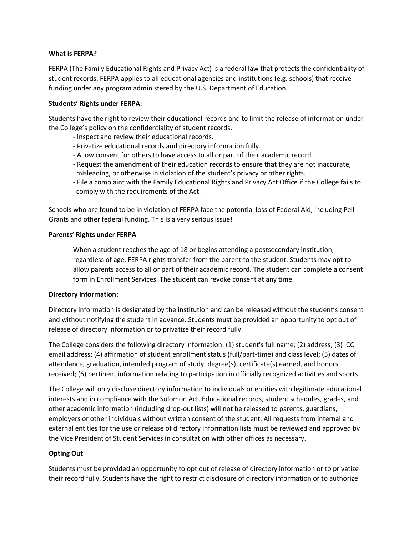#### **What is FERPA?**

FERPA (The Family Educational Rights and Privacy Act) is a federal law that protects the confidentiality of student records. FERPA applies to all educational agencies and institutions (e.g. schools) that receive funding under any program administered by the U.S. Department of Education.

#### **Students' Rights under FERPA:**

Students have the right to review their educational records and to limit the release of information under the College's policy on the confidentiality of student records.

- Inspect and review their educational records.
- Privatize educational records and directory information fully.
- Allow consent for others to have access to all or part of their academic record.
- Request the amendment of their education records to ensure that they are not inaccurate, misleading, or otherwise in violation of the student's privacy or other rights.
- File a complaint with the Family Educational Rights and Privacy Act Office if the College fails to comply with the requirements of the Act.

Schools who are found to be in violation of FERPA face the potential loss of Federal Aid, including Pell Grants and other federal funding. This is a very serious issue!

#### **Parents' Rights under FERPA**

When a student reaches the age of 18 or begins attending a postsecondary institution, regardless of age, FERPA rights transfer from the parent to the student. Students may opt to allow parents access to all or part of their academic record. The student can complete a consent form in Enrollment Services. The student can revoke consent at any time.

### **Directory Information:**

Directory information is designated by the institution and can be released without the student's consent and without notifying the student in advance. Students must be provided an opportunity to opt out of release of directory information or to privatize their record fully.

The College considers the following directory information: (1) student's full name; (2) address; (3) ICC email address; (4) affirmation of student enrollment status (full/part-time) and class level; (5) dates of attendance, graduation, intended program of study, degree(s), certificate(s) earned, and honors received; (6) pertinent information relating to participation in officially recognized activities and sports.

The College will only disclose directory information to individuals or entities with legitimate educational interests and in compliance with the Solomon Act. Educational records, student schedules, grades, and other academic information (including drop-out lists) will not be released to parents, guardians, employers or other individuals without written consent of the student. All requests from internal and external entities for the use or release of directory information lists must be reviewed and approved by the Vice President of Student Services in consultation with other offices as necessary.

### **Opting Out**

Students must be provided an opportunity to opt out of release of directory information or to privatize their record fully. Students have the right to restrict disclosure of directory information or to authorize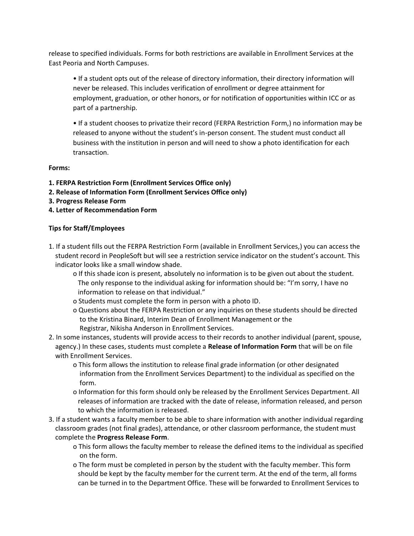release to specified individuals. Forms for both restrictions are available in Enrollment Services at the East Peoria and North Campuses.

• If a student opts out of the release of directory information, their directory information will never be released. This includes verification of enrollment or degree attainment for employment, graduation, or other honors, or for notification of opportunities within ICC or as part of a partnership.

• If a student chooses to privatize their record (FERPA Restriction Form,) no information may be released to anyone without the student's in-person consent. The student must conduct all business with the institution in person and will need to show a photo identification for each transaction.

### **Forms:**

- **1. FERPA Restriction Form (Enrollment Services Office only)**
- **2. Release of Information Form (Enrollment Services Office only)**
- **3. Progress Release Form**
- **4. Letter of Recommendation Form**

## **Tips for Staff/Employees**

- 1. If a student fills out the FERPA Restriction Form (available in Enrollment Services,) you can access the student record in PeopleSoft but will see a restriction service indicator on the student's account. This indicator looks like a small window shade.
	- o If this shade icon is present, absolutely no information is to be given out about the student. The only response to the individual asking for information should be: "I'm sorry, I have no information to release on that individual."
	- o Students must complete the form in person with a photo ID.
	- o Questions about the FERPA Restriction or any inquiries on these students should be directed to the Kristina Binard, Interim Dean of Enrollment Management or the Registrar, Nikisha Anderson in Enrollment Services.
- 2. In some instances, students will provide access to their records to another individual (parent, spouse, agency.) In these cases, students must complete a **Release of Information Form** that will be on file with Enrollment Services.
	- o This form allows the institution to release final grade information (or other designated information from the Enrollment Services Department) to the individual as specified on the form.
	- o Information for this form should only be released by the Enrollment Services Department. All releases of information are tracked with the date of release, information released, and person to which the information is released.
- 3. If a student wants a faculty member to be able to share information with another individual regarding classroom grades (not final grades), attendance, or other classroom performance, the student must complete the **Progress Release Form**.
	- o This form allows the faculty member to release the defined items to the individual as specified on the form.
	- o The form must be completed in person by the student with the faculty member. This form should be kept by the faculty member for the current term. At the end of the term, all forms can be turned in to the Department Office. These will be forwarded to Enrollment Services to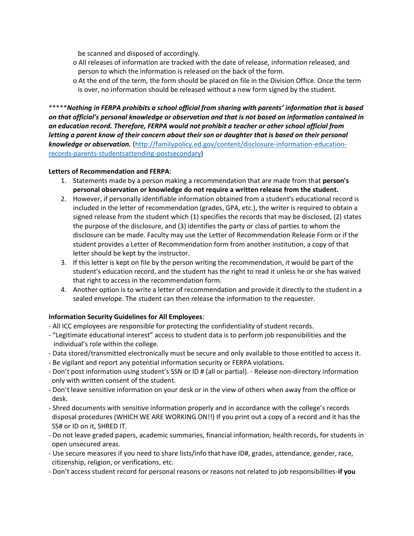be scanned and disposed of accordingly.

- o All releases of information are tracked with the date of release, information released, and person to which the information is released on the back of the form.
- o At the end of the term, the form should be placed on file in the Division Office. Once the term is over, no information should be released without a new form signed by the student.

\*\*\*\*\**Nothing in FERPA prohibits a school official from sharing with parents' information that is based on that official's personal knowledge or observation and that is not based on information contained in an education record. Therefore, FERPA would not prohibit a teacher or other school official from letting a parent know of their concern about their son or daughter that is based on their personal knowledge or observation.* [\(http://familypolicy.ed.gov/content/disclosure-information-education](http://familypolicy.ed.gov/content/disclosure-information-education-records-parents-studentsattending-postsecondary)[records-parents-studentsattending-postsecondary\)](http://familypolicy.ed.gov/content/disclosure-information-education-records-parents-studentsattending-postsecondary)

## **Letters of Recommendation and FERPA**:

- 1. Statements made by a person making a recommendation that are made from that **person's personal observation or knowledge do not require a written release from the student.**
- 2. However, if personally identifiable information obtained from a student's educational record is included in the letter of recommendation (grades, GPA, etc.), the writer is required to obtain a signed release from the student which (1) specifies the records that may be disclosed, (2) states the purpose of the disclosure, and (3) identifies the party or class of parties to whom the disclosure can be made. Faculty may use the Letter of Recommendation Release Form or if the student provides a Letter of Recommendation form from another institution, a copy of that letter should be kept by the instructor.
- 3. If this letter is kept on file by the person writing the recommendation, it would be part of the student's education record, and the student has the right to read it unless he or she has waived that right to access in the recommendation form.
- 4. Another option is to write a letter of recommendation and provide it directly to the student in a sealed envelope. The student can then release the information to the requester.

# **Information Security Guidelines for All Employees**:

- All ICC employees are responsible for protecting the confidentiality of student records.
- "Legitimate educational interest" access to student data is to perform job responsibilities and the individual's role within the college.
- Data stored/transmitted electronically must be secure and only available to those entitled to access it.
- Be vigilant and report any potential information security or FERPA violations.
- Don't post information using student's SSN or ID # (all or partial). Release non-directory information only with written consent of the student.
- Don't leave sensitive information on your desk or in the view of others when away from the office or desk.
- Shred documents with sensitive information properly and in accordance with the college's records disposal procedures (WHICH WE ARE WORKING ON!!) If you print out a copy of a record and it has the SS# or ID on it, SHRED IT.
- Do not leave graded papers, academic summaries, financial information, health records, for students in open unsecured areas.
- Use secure measures if you need to share lists/info that have ID#, grades, attendance, gender, race, citizenship, religion, or verifications, etc.
- Don't access student record for personal reasons or reasons not related to job responsibilities-**if you**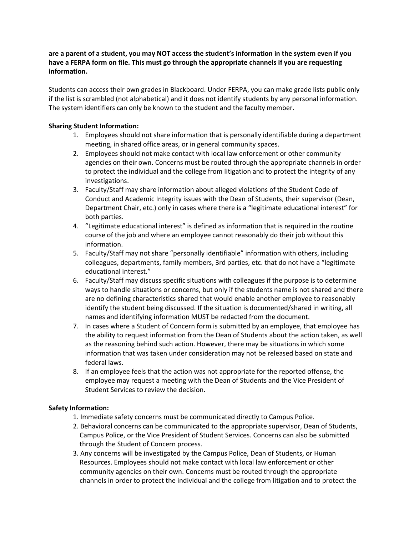**are a parent of a student, you may NOT access the student's information in the system even if you have a FERPA form on file. This must go through the appropriate channels if you are requesting information.**

Students can access their own grades in Blackboard. Under FERPA, you can make grade lists public only if the list is scrambled (not alphabetical) and it does not identify students by any personal information. The system identifiers can only be known to the student and the faculty member.

### **Sharing Student Information:**

- 1. Employees should not share information that is personally identifiable during a department meeting, in shared office areas, or in general community spaces.
- 2. Employees should not make contact with local law enforcement or other community agencies on their own. Concerns must be routed through the appropriate channels in order to protect the individual and the college from litigation and to protect the integrity of any investigations.
- 3. Faculty/Staff may share information about alleged violations of the Student Code of Conduct and Academic Integrity issues with the Dean of Students, their supervisor (Dean, Department Chair, etc.) only in cases where there is a "legitimate educational interest" for both parties.
- 4. "Legitimate educational interest" is defined as information that is required in the routine course of the job and where an employee cannot reasonably do their job without this information.
- 5. Faculty/Staff may not share "personally identifiable" information with others, including colleagues, departments, family members, 3rd parties, etc. that do not have a "legitimate educational interest."
- 6. Faculty/Staff may discuss specific situations with colleagues if the purpose is to determine ways to handle situations or concerns, but only if the students name is not shared and there are no defining characteristics shared that would enable another employee to reasonably identify the student being discussed. If the situation is documented/shared in writing, all names and identifying information MUST be redacted from the document.
- 7. In cases where a Student of Concern form is submitted by an employee, that employee has the ability to request information from the Dean of Students about the action taken, as well as the reasoning behind such action. However, there may be situations in which some information that was taken under consideration may not be released based on state and federal laws.
- 8. If an employee feels that the action was not appropriate for the reported offense, the employee may request a meeting with the Dean of Students and the Vice President of Student Services to review the decision.

# **Safety Information:**

- 1. Immediate safety concerns must be communicated directly to Campus Police.
- 2. Behavioral concerns can be communicated to the appropriate supervisor, Dean of Students, Campus Police, or the Vice President of Student Services. Concerns can also be submitted through the Student of Concern process.
- 3. Any concerns will be investigated by the Campus Police, Dean of Students, or Human Resources. Employees should not make contact with local law enforcement or other community agencies on their own. Concerns must be routed through the appropriate channels in order to protect the individual and the college from litigation and to protect the